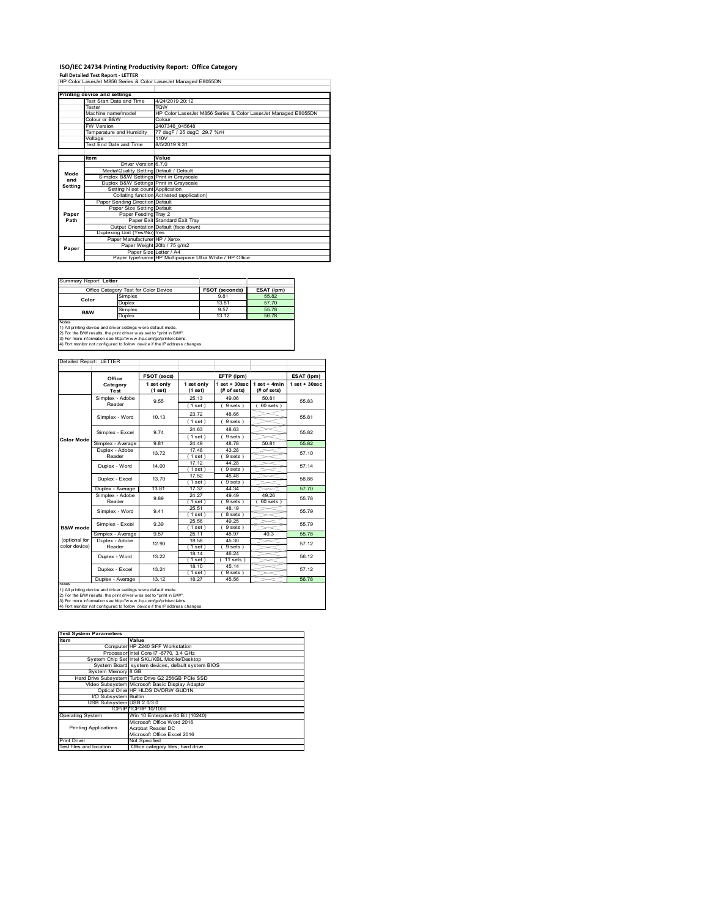# **ISO/IEC 24734 Printing Productivity Report: Office Category Full Detailed Test Report ‐ LETTER** HP Color LaserJet M856 Series & Color LaserJet Managed E8055DN

|         | Printing device and settings            |                                                                |
|---------|-----------------------------------------|----------------------------------------------------------------|
|         | Test Start Date and Time                | 4/24/2019 20:12                                                |
|         | <b>Tester</b>                           | <b>TOW</b>                                                     |
|         | Machine name/model                      | HP Color LaserJet M856 Series & Color LaserJet Managed E8055DN |
|         | Colour or B&W                           | Colour                                                         |
|         | <b>FW Version</b>                       | 2407346 045648                                                 |
|         | Temperature and Humidity                | 77 degF / 25 degC 29.7 %rH                                     |
|         | Voltage                                 | 110V                                                           |
|         | Test End Date and Time                  | 8/5/2019 9:31                                                  |
|         |                                         |                                                                |
|         | Item                                    | Value                                                          |
|         | Driver Version 6.7.0                    |                                                                |
| Mode    | Media/Quality Setting Default / Default |                                                                |
| and     | Simplex B&W Settings Print in Grayscale |                                                                |
| Setting | Duplex B&W Settings Print in Grayscale  |                                                                |
|         | Setting N set count Application         |                                                                |
|         |                                         | Collating function Activated (application)                     |
|         | Paper Sending Direction Default         |                                                                |
|         | Paper Size Setting Default              |                                                                |
| Paper   | Paper Feeding Tray 2                    |                                                                |
| Path    |                                         | Paper Exit Standard Exit Tray                                  |
|         |                                         | Output Orientation Default (face down)                         |
|         | Duplexing Unit (Yes/No) Yes             |                                                                |
|         | Paper Manufacturer HP / Xerox           |                                                                |
| Paper   |                                         | Paper Weight 20lb / 75 g/m2                                    |
|         |                                         | Paper Size Letter / A4                                         |
|         |                                         | Paper type/name HP Multipurpose Ultra White / HP Office        |

Summary Report: **Letter**

|                                                                                                                                       | Office Category Test for Color Device | <b>FSOT (seconds)</b> | ESAT (ipm) |  |  |  |
|---------------------------------------------------------------------------------------------------------------------------------------|---------------------------------------|-----------------------|------------|--|--|--|
| Color                                                                                                                                 | Simplex                               | 9.81                  | 55.82      |  |  |  |
|                                                                                                                                       | Duplex                                | 13.81                 | 57.70      |  |  |  |
| <b>B&amp;W</b>                                                                                                                        | Simplex                               | 9.57                  | 55.78      |  |  |  |
|                                                                                                                                       | Duplex                                | 13 12                 | 56.78      |  |  |  |
| <b>Notes</b>                                                                                                                          |                                       |                       |            |  |  |  |
| 1) All printing device and driver settings w ere default mode.<br>2) For the B/W results, the print driver was set to "print in B/W". |                                       |                       |            |  |  |  |

| Detailed Report: LETTER        |                           |                       |                       |                                   |                             |                   |
|--------------------------------|---------------------------|-----------------------|-----------------------|-----------------------------------|-----------------------------|-------------------|
|                                | Office                    | <b>FSOT (secs)</b>    |                       | EFTP (ipm)                        |                             | ESAT (ipm)        |
|                                | Category<br>Test          | 1 set only<br>(1 set) | 1 set only<br>(1 set) | $1$ set + $30$ sec<br>(# of sets) | 1 set + 4min<br>(# of sets) | $1$ set $+30$ sec |
|                                | Simplex - Adobe<br>Reader | 9.55                  | 25.13<br>(1 set)      | 49.06<br>9 sets)                  | 50.81<br>$60$ sets $)$      | 5583              |
|                                | Simplex - Word            | 10.13                 | 2372<br>(1 set)       | 48.66<br>9 sets)                  |                             | 55.81             |
|                                | Simplex - Excel           | 974                   | 24.63<br>(1 set)      | 48.63<br>9 sets)                  |                             | 55.82             |
| Color Mode                     | Simplex - Average         | 9.81                  | 24.49                 | 48.78                             | 50.81                       | 55.82             |
|                                | Duplex - Adobe<br>Reader  | 1372                  | 17.48<br>(1 set)      | 43.28<br>9 sets)                  |                             | 57.10             |
|                                | Duplex - Word             | 14.00                 | 17.12<br>(1 set )     | 44.28<br>9 sets                   |                             | 57.14             |
|                                | Duplex - Excel            | 13 70                 | 17.52<br>(1 set)      | 45.48<br>9 sets 1                 |                             | 58.86             |
|                                | Duplex - Average          | 13.81                 | 17.37                 | 44.34                             |                             | 57.70             |
|                                | Simplex - Adobe<br>Reader | 9.89                  | 24 27<br>(1 set )     | 49 49<br>9 sets                   | 49.26<br>60 sets            | 55.78             |
|                                | Simplex - Word            | 9.41                  | 25.51<br>(1 set)      | 48 19<br>8 sets)                  |                             | 55.79             |
| B&W mode                       | Simplex - Excel           | 9.39                  | 25.56<br>(1 set )     | 49.25<br>9 sets 1                 |                             | 55 79             |
|                                | Simplex - Average         | 9.57                  | 25.11                 | 48.97                             | 49.3                        | 55.78             |
| (optional for<br>color device) | Duplex - Adobe<br>Reader  | 12.90                 | 18.58<br>(1 set)      | 45.30<br>9 sets)                  |                             | 57.12             |
|                                | Duplex - Word             | 13 22                 | 18.14<br>(1 set)      | 46.24<br>11 sets)                 |                             | 56 12             |
|                                | Duplex - Excel            | 13 24                 | 18.10<br>(1 set)      | 45.14<br>9 sets)                  |                             | 57 12             |
|                                | Duplex - Average          | 13 12                 | 18 27                 | 45.56                             |                             | 56 78             |

| <b>Test System Parameters</b> |                                                    |
|-------------------------------|----------------------------------------------------|
| Item                          | Value                                              |
|                               | Computer HP Z240 SFF Workstation                   |
|                               | Processor Intel Core i7 -6770, 3.4 GHz             |
|                               | System Chip Set Intel SKL/KBL Mobile/Desktop       |
|                               | System Board system devices, default system BIOS   |
| System Memory 8 GB            |                                                    |
|                               | Hard Drive Subsystem Turbo Drive G2 256GB PCle SSD |
|                               | Video Subsystem Microsoft Basic Display Adaptor    |
|                               | Optical Drive HP HLDS DVDRW GUD1N                  |
| I/O Subsystem Builtin         |                                                    |
| USB Subsystem USB 2.0/3.0     |                                                    |
|                               | TCP/IPITCP/IP 10/1000                              |
| <b>Operating System</b>       | Win 10 Enterprise 64 Bit (10240)                   |
|                               | Microsoft Office Word 2016                         |
| <b>Printing Applications</b>  | Acrobat Reader DC                                  |
|                               | Microsoft Office Excel 2016                        |
| <b>Print Driver</b>           | Not Specified                                      |
| Test files and location       | Office category files, hard drive                  |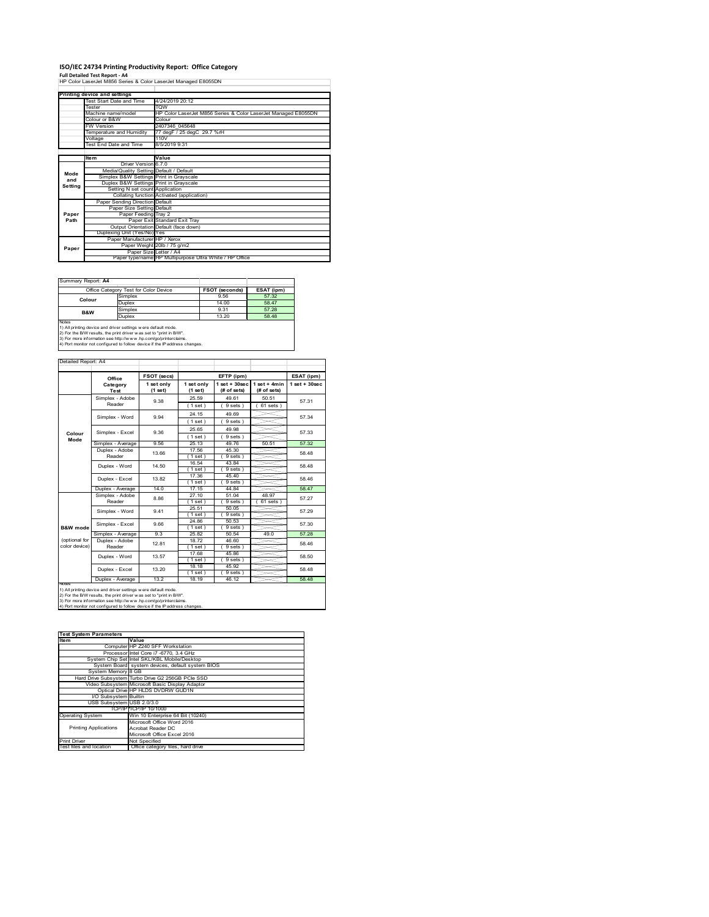# **ISO/IEC 24734 Printing Productivity Report: Office Category<br>Full Detailed Test Report - A4<br>HP Color LaserJet M856 Series & Color LaserJet Managed E8055DN**

|         | Printing device and settings            |                                                                |
|---------|-----------------------------------------|----------------------------------------------------------------|
|         | Test Start Date and Time                | 4/24/2019 20:12                                                |
|         | Tester                                  | <b>TOW</b>                                                     |
|         | Machine name/model                      | HP Color LaserJet M856 Series & Color LaserJet Managed E8055DN |
|         | Colour or B&W                           | Colour                                                         |
|         | <b>FW Version</b>                       | 2407346 045648                                                 |
|         | Temperature and Humidity                | 77 degF / 25 degC 29.7 %rH                                     |
|         | Voltage                                 | 110V                                                           |
|         | Test End Date and Time                  | 8/5/2019 9:31                                                  |
|         |                                         |                                                                |
|         | Item                                    | Value                                                          |
|         | Driver Version 670                      |                                                                |
| Mode    | Media/Quality Setting Default / Default |                                                                |
| and     | Simplex B&W Settings Print in Grayscale |                                                                |
| Settina | Duplex B&W Settings Print in Grayscale  |                                                                |
|         | Setting N set count Application         |                                                                |
|         |                                         | Collating function Activated (application)                     |
|         | Paper Sending Direction Default         |                                                                |
|         | Paper Size Setting Default              |                                                                |
| Paper   | Paper Feeding Tray 2                    |                                                                |
| Path    |                                         | Paper Exit Standard Exit Trav                                  |
|         |                                         | Output Orientation Default (face down)                         |
|         | Duplexing Unit (Yes/No) Yes             |                                                                |
|         | Paper Manufacturer HP / Xerox           |                                                                |
| Paper   |                                         | Paper Weight 20lb / 75 g/m2                                    |
|         | Paper SizelLetter / A4                  |                                                                |
|         |                                         | Paper type/name HP Multipurpose Ultra White / HP Office        |

 $\overline{\phantom{0}}$ 

Summary Report: **A4**

| <u> Julianu I IV</u> |                                                              |                       |            |  |  |
|----------------------|--------------------------------------------------------------|-----------------------|------------|--|--|
|                      | Office Category Test for Color Device                        | <b>FSOT (seconds)</b> | ESAT (ipm) |  |  |
| Colour               | Simplex                                                      | 9.56                  | 57.32      |  |  |
|                      | Duplex                                                       | 14.00                 | 58 47      |  |  |
| <b>B&amp;W</b>       | Simplex                                                      | 9.31                  | 57.28      |  |  |
|                      | Duplex                                                       | 13.20                 | 58 48      |  |  |
| <b>Notes</b>         |                                                              |                       |            |  |  |
|                      | 1) All nrinting device and driver settings were default mode |                       |            |  |  |

1) All printing device and driver settings were default mode.<br>2) For the B/W results, the print driver was set to "print in B/W".<br>3) For more information see http://www.hp.com/go/printerclaims.<br>4) Port monitor not configur

## Detailed Report: A4

|                                | Office                    | FSOT (secs)           |                       | EFTP (ipm)                       |                               | ESAT (ipm)        |
|--------------------------------|---------------------------|-----------------------|-----------------------|----------------------------------|-------------------------------|-------------------|
|                                | Category<br>Test          | 1 set only<br>(1 set) | 1 set only<br>(1 set) | $1$ set $+30$ sec<br>(# of sets) | $1$ set + 4min<br>(# of sets) | $1$ set $+30$ sec |
|                                | Simplex - Adobe<br>Reader | 9.38                  | 25.59<br>(1 set)      | 49.61<br>9 sets)                 | 50.51<br>$61$ sets $)$        | 57 31             |
|                                | Simplex - Word<br>9.94    |                       | 24.15<br>(1 set)      | 49.69<br>9 sets)                 |                               | 57 34             |
| Colour                         | Simplex - Excel           | 9.36                  | 25.65<br>(1 set)      | 49.98<br>9 sets)                 |                               | 57.33             |
| Mode                           | Simplex - Average         | 9.56                  | 25.13                 | 49.76                            | 50.51                         | 57.32             |
|                                | Duplex - Adobe<br>Reader  | 13.66                 | 17.56<br>(1 set)      | 45.30<br>9 sets)                 |                               | 58 48             |
|                                | Duplex - Word             | 14.50                 | 16.54<br>(1 set)      | 43.84<br>9 sets)                 |                               | 58.48             |
|                                | Duplex - Excel            | 13.82                 | 17.36<br>(1 set)      | 45.40<br>9 sets                  |                               | 58 46             |
|                                | Duplex - Average          | 14.0                  | 17 15                 | 44 84                            |                               | 58.47             |
|                                | Simplex - Adobe<br>Reader | 8.86                  | 27.10<br>(1 set)      | 51.04<br>9 sets )                | 48.97<br>61 sets              | 57.27             |
|                                | Simplex - Word            | 941                   | 25.51<br>(1 set)      | 50 05<br>9 sets)                 |                               | 57.29             |
| B&W mode                       | Simplex - Excel           | 9.66                  | 24.86<br>(1 set)      | 50.53<br>9 sets)                 |                               | 57.30             |
|                                | Simplex - Average         | 9.3                   | 25.82                 | 50.54                            | 49.0                          | 57.28             |
| (optional for<br>color device) | Duplex - Adobe<br>Reader  | 12.81                 | 18.72<br>$1$ set)     | 46.60<br>9 sets )                |                               | 58.46             |
|                                | Duplex - Word             | 13.57                 | 17.68<br>$1$ set)     | 45.86<br>9 sets)                 |                               | 58.50             |
|                                | Duplex - Excel            | 13.20                 | 18.18<br>(1 set)      | 45.92<br>9 sets)                 |                               | 58 48             |
|                                | Duplex - Average          | 13.2                  | 18.19                 | 46.12                            |                               | 58.48             |

1) All printing device and driver settings were default mode.<br>2) For the B/W results, the print driver was set to "print in B/W".<br>3) For more information see http://www.hp.com/go/printerclaims.<br>4) Port monitor not configur

| <b>Test System Parameters</b><br>Item | Value                                              |
|---------------------------------------|----------------------------------------------------|
|                                       |                                                    |
|                                       | Computer HP Z240 SFF Workstation                   |
|                                       | Processor Intel Core i7 -6770, 3.4 GHz             |
|                                       | System Chip Set Intel SKL/KBL Mobile/Desktop       |
|                                       | System Board system devices, default system BIOS   |
| System Memory 8 GB                    |                                                    |
|                                       | Hard Drive Subsystem Turbo Drive G2 256GB PCIe SSD |
|                                       | Video Subsystem Microsoft Basic Display Adaptor    |
|                                       | Optical Drive HP HLDS DVDRW GUD1N                  |
| <b>VO Subsystem Builtin</b>           |                                                    |
| USB Subsystem USB 2.0/3.0             |                                                    |
|                                       | TCP/IP/TCP/IP 10/1000                              |
| <b>Operating System</b>               | Win 10 Enterprise 64 Bit (10240)                   |
|                                       | Microsoft Office Word 2016                         |
| <b>Printing Applications</b>          | Acrobat Reader DC                                  |
|                                       | Microsoft Office Excel 2016                        |
| <b>Print Driver</b>                   | Not Specified                                      |
| Test files and location               | Office category files, hard drive                  |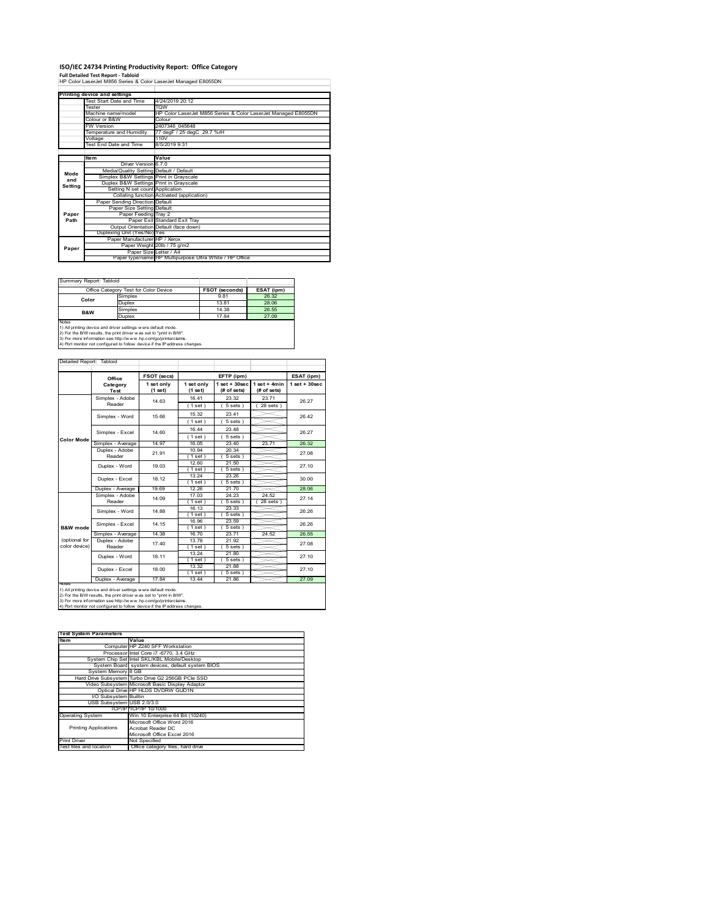# **ISO/IEC 24734 Printing Productivity Report: Office Category Full Detailed Test Report ‐ Tabloid** HP Color LaserJet M856 Series & Color LaserJet Managed E8055DN

|         | Printing device and settings            |                                                                |
|---------|-----------------------------------------|----------------------------------------------------------------|
|         | Test Start Date and Time                | 4/24/2019 20:12                                                |
|         | Tester                                  | <b>TOW</b>                                                     |
|         | Machine name/model                      | HP Color LaserJet M856 Series & Color LaserJet Managed E8055DN |
|         | Colour or B&W                           | Colour                                                         |
|         | <b>FW Version</b>                       | 2407346 045648                                                 |
|         | Temperature and Humidity                | 77 degF / 25 degC 29.7 %rH                                     |
|         | Voltage                                 | 110V                                                           |
|         | Test End Date and Time                  | 8/5/2019 9:31                                                  |
|         |                                         |                                                                |
|         | <b>Item</b>                             | Value                                                          |
|         | Driver Version 6.7.0                    |                                                                |
| Mode    | Media/Quality Setting Default / Default |                                                                |
| and     | Simplex B&W Settings Print in Grayscale |                                                                |
| Setting | Duplex B&W Settings Print in Grayscale  |                                                                |
|         | Setting N set count Application         |                                                                |
|         |                                         | Collating function Activated (application)                     |
|         | Paper Sending Direction Default         |                                                                |
|         | Paper Size Setting Default              |                                                                |
| Paper   | Paper Feeding Tray 2                    |                                                                |
| Path    |                                         | Paper Exit Standard Exit Tray                                  |
|         |                                         | Output Orientation Default (face down)                         |
|         | Duplexing Unit (Yes/No) Yes             |                                                                |
|         | Paper Manufacturer HP / Xerox           |                                                                |
| Paper   |                                         | Paper Weight 20lb / 75 g/m2                                    |
|         | Paper Size Letter / A4                  |                                                                |
|         |                                         | Paper type/name HP Multipurpose Ultra White / HP Office        |

| Summary Report: Tabloid |                                                               |                       |            |  |  |
|-------------------------|---------------------------------------------------------------|-----------------------|------------|--|--|
|                         | Office Category Test for Color Device                         | <b>FSOT (seconds)</b> | ESAT (ipm) |  |  |
| Color                   | Simplex                                                       | 9.81                  | 26.32      |  |  |
|                         | Duplex                                                        | 13.81                 | 28.06      |  |  |
| B&W                     | Simplex                                                       | 14.38                 | 26.55      |  |  |
|                         | Duplex                                                        | 17.84                 | 27.09      |  |  |
| <b>Notes</b>            |                                                               |                       |            |  |  |
|                         | 1) All printing device and driver settings were default mode. |                       |            |  |  |

1) All printing device and driver settings were default mode.<br>2) For the B/W results, the print driver was set to "print in B/W".<br>3) For more information see http://www.hp.com/go/printerclaims.<br>4) Port monitor not configur

#### Detailed Report: Tabloid

|                   | Office<br>Category<br>Test<br>Simplex - Adobe<br>Reader                                                                                                                                                 | 1 set only<br>(1 set)<br>14.63 | 1 set only<br>(1 set) | $1$ set + $30$ sec | $1 set + 4 min$ | $1$ set + $30$ sec |
|-------------------|---------------------------------------------------------------------------------------------------------------------------------------------------------------------------------------------------------|--------------------------------|-----------------------|--------------------|-----------------|--------------------|
|                   |                                                                                                                                                                                                         |                                |                       | (# of sets)        | (# of sets)     |                    |
|                   |                                                                                                                                                                                                         |                                | 1641                  | 23.32              | 2371            |                    |
|                   |                                                                                                                                                                                                         |                                | (1 set)               | 5 sets)            | $28$ sets $)$   | 26.27              |
|                   | Simplex - Word                                                                                                                                                                                          | 15.66                          | 15.32                 | 23.41              |                 | 26.42              |
|                   |                                                                                                                                                                                                         |                                | (1 set)               | $5 sets$ )         |                 |                    |
|                   | Simplex - Excel<br>14 60                                                                                                                                                                                | 16.44                          | 23.48                 |                    | 26.27           |                    |
| <b>Color Mode</b> |                                                                                                                                                                                                         |                                | (1 set)               | $5 sets$ )         |                 |                    |
|                   | Simplex - Average                                                                                                                                                                                       | 14.97                          | 16.05                 | 23.40              | 23.71           | 26.32              |
|                   | Duplex - Adobe                                                                                                                                                                                          | 21 91                          | 10.94                 | 20.34              |                 | 27.08              |
|                   | Reader                                                                                                                                                                                                  |                                | (1 set)               | 5 sets)            |                 |                    |
|                   | Duplex - Word                                                                                                                                                                                           | 19.03                          | 12.60                 | 21.50              |                 | 27.10<br>30.00     |
|                   |                                                                                                                                                                                                         |                                | (1 set)               | 5 sets)            |                 |                    |
|                   | Duplex - Excel                                                                                                                                                                                          | 18 12                          | 13.24                 | 23.26              |                 |                    |
|                   |                                                                                                                                                                                                         |                                | $1$ set $)$           | 5 sets )           |                 |                    |
|                   | Duplex - Average                                                                                                                                                                                        | 19.69                          | 12.26                 | 21.70              |                 | 28.06              |
|                   | Simplex - Adobe                                                                                                                                                                                         | 14.09                          | 17.03                 | 24 23              | 24.52           | 27.14              |
|                   | Reader                                                                                                                                                                                                  |                                | $1$ set)              | 5 sets             | 28 sets         |                    |
|                   | Simplex - Word                                                                                                                                                                                          | 14 88                          | 16.13                 | 23.33              |                 | 26.26              |
|                   |                                                                                                                                                                                                         |                                | (1 set)<br>16.96      | 5 sets)<br>23.59   |                 |                    |
| B&W mode          | Simplex - Excel                                                                                                                                                                                         | 14 15                          | (1 set)               | 5 sets )           |                 | 26.26              |
|                   | Simplex - Average                                                                                                                                                                                       | 14 38                          | 16 70                 | 2371               | 24.52           | 26.55              |
| (optional for     | Duplex - Adobe                                                                                                                                                                                          |                                | 1378                  | 21.92              |                 |                    |
| color device)     | Reader                                                                                                                                                                                                  | 17.40                          | 1 set                 | 5 sets)            |                 | 27.08              |
|                   |                                                                                                                                                                                                         |                                | 13.24                 | 21.80              |                 | 27 10              |
|                   | Duplex - Word                                                                                                                                                                                           | 18 11                          | (1 set)               | $5 sets$ )         |                 |                    |
|                   |                                                                                                                                                                                                         | 18.00                          | 13.32                 | 21.88              |                 |                    |
|                   | Duplex - Excel                                                                                                                                                                                          |                                | (1 set)               | $5 sets$ )         |                 | 27.10              |
|                   | Duplex - Average                                                                                                                                                                                        | 1784                           | 13.44                 | 21.86              |                 | 27.09              |
| <b>NOtes</b>      | 1) All printing device and driver settings were default mode.<br>2) For the B/W results, the print driver was set to "print in B/W".<br>3) For more information see http://www.hp.com/go/printerclaims. |                                |                       |                    |                 |                    |

| Item                         | Value                                              |
|------------------------------|----------------------------------------------------|
|                              | Computer HP Z240 SFF Workstation                   |
|                              | Processor Intel Core i7 -6770, 3.4 GHz             |
|                              | System Chip Set Intel SKL/KBL Mobile/Desktop       |
|                              | System Board system devices, default system BIOS   |
| System Memory 8 GB           |                                                    |
|                              | Hard Drive Subsystem Turbo Drive G2 256GB PCIe SSD |
|                              | Video Subsystem Microsoft Basic Display Adaptor    |
|                              | Optical Drive HP HLDS DVDRW GUD1N                  |
| <b>VO Subsystem Builtin</b>  |                                                    |
| USB Subsystem USB 2.0/3.0    |                                                    |
|                              | TCP/IP TCP/IP 10/1000                              |
| <b>Operating System</b>      | Win 10 Enterprise 64 Bit (10240)                   |
|                              | Microsoft Office Word 2016                         |
| <b>Printing Applications</b> | Acrobat Reader DC                                  |
|                              | Microsoft Office Excel 2016                        |
| <b>Print Driver</b>          | Not Specified                                      |
| Test files and location      | Office category files, hard drive                  |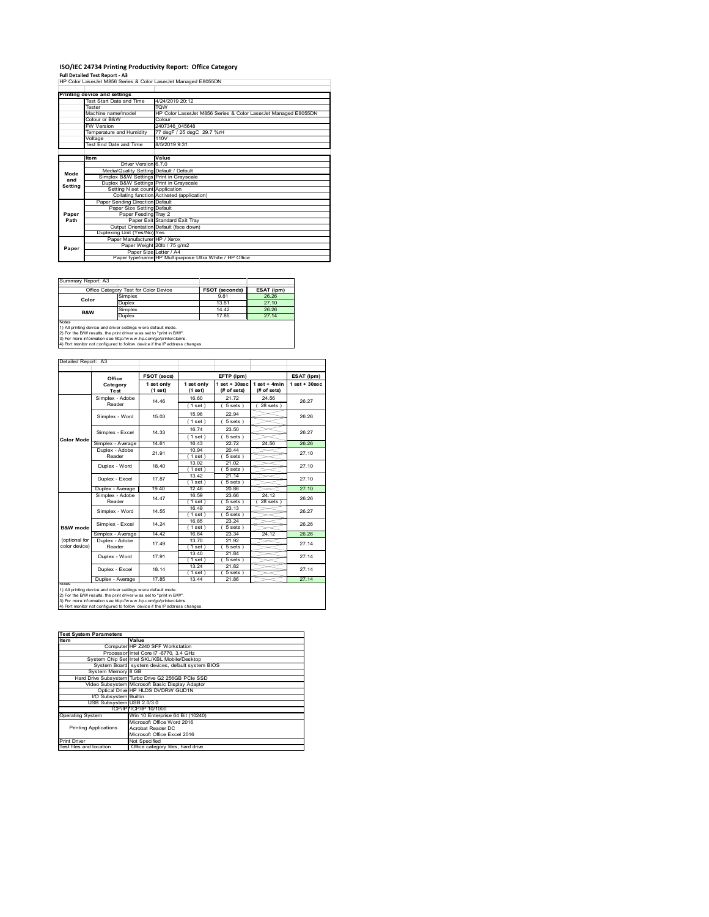# **ISO/IEC 24734 Printing Productivity Report: Office Category<br>Full Detailed Test Report - A3<br>HP Color LaserJet M856 Series & Color LaserJet Managed E8055DN**

|         | Printing device and settings            |                                                                |
|---------|-----------------------------------------|----------------------------------------------------------------|
|         | Test Start Date and Time                | 4/24/2019 20:12                                                |
|         | Tester                                  | <b>TOW</b>                                                     |
|         | Machine name/model                      | HP Color LaserJet M856 Series & Color LaserJet Managed E8055DN |
|         | Colour or B&W                           | Colour                                                         |
|         | <b>FW Version</b>                       | 2407346 045648                                                 |
|         | Temperature and Humidity                | 77 degF / 25 degC 29.7 %rH                                     |
|         | Voltage                                 | 110V                                                           |
|         | <b>Test End Date and Time</b>           | 8/5/2019 9:31                                                  |
|         |                                         |                                                                |
|         | <b>Item</b>                             | Value                                                          |
|         | Driver Version 6.7.0                    |                                                                |
| Mode    | Media/Quality Setting Default / Default |                                                                |
| and     | Simplex B&W Settings Print in Grayscale |                                                                |
| Setting | Duplex B&W Settings Print in Grayscale  |                                                                |
|         | Setting N set count Application         |                                                                |
|         |                                         | Collating function Activated (application)                     |
|         | Paper Sending Direction Default         |                                                                |
|         | Paper Size Setting Default              |                                                                |
| Paper   | Paper Feeding Tray 2                    |                                                                |
| Path    |                                         | Paper Exit Standard Exit Tray                                  |
|         |                                         | Output Orientation Default (face down)                         |
|         | Duplexing Unit (Yes/No) Yes             |                                                                |
|         | Paper Manufacturer HP / Xerox           |                                                                |
| Paper   |                                         | Paper Weight 20lb / 75 g/m2                                    |
|         |                                         | Paper Size Letter / A4                                         |
|         |                                         | Paper type/name HP Multipurpose Ultra White / HP Office        |

Summary Report: A3

|              | Office Category Test for Color Device                        | <b>FSOT (seconds)</b> | ESAT (ipm) |
|--------------|--------------------------------------------------------------|-----------------------|------------|
| Color        | Simplex                                                      | 9.81                  | 26.26      |
|              | Duplex                                                       | 13.81                 | 27 10      |
| B&W          | Simplex                                                      | 14 42                 | 26.26      |
|              | Duplex                                                       | 17.85                 | 27 14      |
| <b>Notes</b> | 1) All nrinting device and driver settings were default mode |                       |            |

1) All printing device and driver settings were default mode.<br>2) For the B/W results, the print driver was set to "print in B/W".<br>3) For more information see http://www.hp.com/go/printerclaims.<br>4) Port monitor not configur

## Detailed Report: A3

|                   | Office            | FSOT (secs) |            | EFTP (ipm)         |                | ESAT (ipm)         |
|-------------------|-------------------|-------------|------------|--------------------|----------------|--------------------|
|                   | Category          | 1 set only  | 1 set only | $1$ set + $30$ sec | $1$ set + 4min | $1$ set + $30$ sec |
|                   | Test              | (1 set)     | (1 set)    | (# of sets)        | (# of sets)    |                    |
|                   | Simplex - Adobe   | 14.46       | 16.60      | 21.72              | 24.56          | 26.27              |
|                   | Reader            |             | (1 set)    | 5 sets)            | $28$ sets $)$  |                    |
|                   | Simplex - Word    | 15.03       | 15.96      | 22.94              |                | 26.26              |
|                   |                   |             | (1 set)    | 5 sets)            |                |                    |
| <b>Color Mode</b> | Simplex - Excel   | 14 33       | 16.74      | 23.50              |                | 26.27              |
|                   |                   |             | (1 set)    | 5 sets)            |                |                    |
|                   | Simplex - Average | 14.61       | 16.43      | 2272               | 24.56          | 26.26              |
|                   | Duplex - Adobe    | 21 91       | 10.94      | 2044               |                | 27.10              |
|                   | Reader            |             | (1 set)    | 5 sets)            |                |                    |
|                   | Duplex - Word     | 18.40       | 13.02      | 21.02              |                | 27.10              |
|                   |                   |             | (1 set)    | 5 sets)            |                |                    |
|                   | Duplex - Excel    | 17.87       | 13.42      | 21.14              |                | 27.10              |
|                   |                   |             | (1 set)    | $5 sets$ )         |                |                    |
|                   | Duplex - Average  | 19.40       | 12.46      | 20.86              |                | 27.10              |
|                   | Simplex - Adobe   | 14.47       | 16.59      | 23.66              | 24.12          | 26.26              |
|                   | Reader            |             | (1 set)    | 5 sets)            | 28 sets        |                    |
|                   |                   | 14.55       | 16 49      | 23 13              |                | 26.27              |
|                   | Simplex - Word    |             | (1 set )   | 5 sets)            |                |                    |
|                   | Simplex - Excel   | 14.24       | 16.85      | 23.24              |                | 26.26              |
| B&W mode          |                   |             | (1 set)    | $5 sets$ )         |                |                    |
|                   | Simplex - Average | 14.42       | 16.64      | 23.34              | 24.12          | 26.26              |
| (optional for     | Duplex - Adobe    | 17.49       | 13.70      | 21.92              |                | 27.14              |
| color device)     | Reader            |             | (1 set)    | 5 sets 1           |                |                    |
|                   | Duplex - Word     | 17.91       | 13.40      | 21.84              |                | 27.14              |
|                   |                   |             | $1$ set)   | $5 sets$ )         |                |                    |
|                   | Duplex - Excel    | 18 14       | 13.24      | $21.\overline{82}$ |                | 27.14              |
|                   |                   |             | 1 set      | 5 sets             |                |                    |
|                   | Duplex - Average  | 17.85       | 13.44      | 21.86              |                | 27.14              |

- -

 $\sim$ 

÷

**Ites System Parameters**<br>**Item Value**<br>Computer HP Z24 Computer HP Z240 SFF Workstation Processor Intel Core i7 -6770, 3.4 GHz System Chip Set Intel SKL/KBL Mobile/Desktop System Board system devices, default system BIOS syst<br>8 GB G2 256GB PCIe SS Video Subsystem Microsoft Basic Display Adaptor Optical Drive HP HLDS DVDRW GUD1N I/O Subsystem Builtin USB Subsystem USB 2.0/3.0 TCP/IP TCP/IP 10/1000<br>
Win 10 Enterprise 64 Bit (10240)<br>
Microsoft Office Word 2016<br>
Printing Applications<br>
Acrobat Reader DC<br>
Microsoft Office Excel 2016 Printing Applications int Driver Not Specified<br>st files and location Office catego or specilled<br>Office category files, hard driv **Test System Parameters**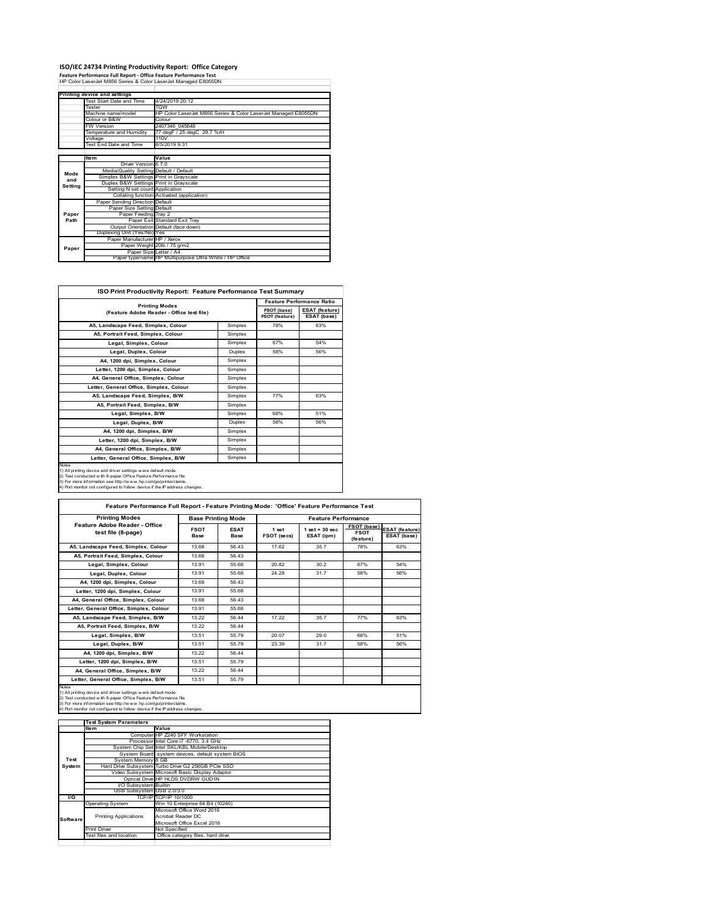**ISO/IEC 24734 Printing Productivity Report: Office Category Feature Performance Full Report ‐ Office Feature Performance Test** HP Color LaserJet M856 Series & Color LaserJet Managed E8055DN

|         | Printing device and settings            |                                                                |
|---------|-----------------------------------------|----------------------------------------------------------------|
|         | Test Start Date and Time                | 4/24/2019 20:12                                                |
|         | Tester                                  | <b>TOW</b>                                                     |
|         | Machine name/model                      | HP Color LaserJet M856 Series & Color LaserJet Managed E8055DN |
|         | Colour or B&W                           | Colour                                                         |
|         | <b>FW Version</b>                       | 2407346 045648                                                 |
|         | Temperature and Humidity                | 77 degF / 25 degC 29.7 %rH                                     |
|         | Voltage                                 | 110V                                                           |
|         | Test End Date and Time                  | 8/5/2019 9:31                                                  |
|         |                                         |                                                                |
|         | Item                                    | Value                                                          |
|         | Driver Version 6.7.0                    |                                                                |
| Mode    | Media/Quality Setting Default / Default |                                                                |
| and     | Simplex B&W Settings Print in Grayscale |                                                                |
| Setting | Duplex B&W Settings Print in Grayscale  |                                                                |
|         | Setting N set count Application         |                                                                |
|         |                                         | Collating function Activated (application)                     |
|         | Paper Sending Direction Default         |                                                                |
|         | Paper Size Setting Default              |                                                                |
| Paper   | Paper Feeding Tray 2                    |                                                                |
| Path    |                                         | Paper Exit Standard Exit Tray                                  |
|         |                                         | Output Orientation Default (face down)                         |
|         | Duplexing Unit (Yes/No) Yes             |                                                                |
|         | Paper Manufacturer HP / Xerox           |                                                                |
| Paper   |                                         | Paper Weight 20lb / 75 g/m2                                    |
|         |                                         | Paper Size Letter / A4                                         |
|         |                                         | Paper type/name HP Multipurpose Ultra White / HP Office        |

| ISO Print Productivity Report: Feature Performance Test Summary                                                                                                                                                                                                                             |               |                                      |                                      |  |  |  |
|---------------------------------------------------------------------------------------------------------------------------------------------------------------------------------------------------------------------------------------------------------------------------------------------|---------------|--------------------------------------|--------------------------------------|--|--|--|
|                                                                                                                                                                                                                                                                                             |               | <b>Feature Performance Ratio</b>     |                                      |  |  |  |
| <b>Printing Modes</b><br>(Feature Adobe Reader - Office test file)                                                                                                                                                                                                                          |               | FSOT (base)<br><b>FSOT (feature)</b> | <b>ESAT (feature)</b><br>ESAT (base) |  |  |  |
| A5, Landscape Feed, Simplex, Colour                                                                                                                                                                                                                                                         | Simplex       | 78%                                  | 63%                                  |  |  |  |
| A5. Portrait Feed. Simplex. Colour                                                                                                                                                                                                                                                          | Simplex       |                                      |                                      |  |  |  |
| Legal, Simplex, Colour                                                                                                                                                                                                                                                                      | Simplex       | 67%                                  | 54%                                  |  |  |  |
| Legal, Duplex, Colour                                                                                                                                                                                                                                                                       | <b>Duplex</b> | 58%                                  | 56%                                  |  |  |  |
| A4, 1200 dpi, Simplex, Colour                                                                                                                                                                                                                                                               | Simplex       |                                      |                                      |  |  |  |
| Letter, 1200 dpi, Simplex, Colour                                                                                                                                                                                                                                                           | Simplex       |                                      |                                      |  |  |  |
| A4, General Office, Simplex, Colour                                                                                                                                                                                                                                                         | Simplex       |                                      |                                      |  |  |  |
| Letter, General Office, Simplex, Colour                                                                                                                                                                                                                                                     | Simplex       |                                      |                                      |  |  |  |
| A5, Landscape Feed, Simplex, B/W                                                                                                                                                                                                                                                            | Simplex       | 77%                                  | 63%                                  |  |  |  |
| A5, Portrait Feed, Simplex, B/W                                                                                                                                                                                                                                                             | Simplex       |                                      |                                      |  |  |  |
| Legal, Simplex, B/W                                                                                                                                                                                                                                                                         | Simplex       | 68%                                  | 51%                                  |  |  |  |
| Legal, Duplex, B/W                                                                                                                                                                                                                                                                          | <b>Duplex</b> | 58%                                  | 56%                                  |  |  |  |
| A4. 1200 dpi. Simplex. B/W                                                                                                                                                                                                                                                                  | Simplex       |                                      |                                      |  |  |  |
| Letter, 1200 dpi, Simplex, B/W                                                                                                                                                                                                                                                              | Simplex       |                                      |                                      |  |  |  |
| A4. General Office. Simplex. B/W                                                                                                                                                                                                                                                            | Simplex       |                                      |                                      |  |  |  |
| Letter, General Office, Simplex, B/W                                                                                                                                                                                                                                                        | Simplex       |                                      |                                      |  |  |  |
| Notes<br>1) All printing device and driver settings w ere default mode.<br>2) Test conducted with 8-paper Office Feature Performance file.<br>3) For more information see http://www.hp.com/go/printerclaims.<br>4) Port monitor not configured to follow device if the IP address changes. |               |                                      |                                      |  |  |  |

| Feature Performance Full Report - Feature Printing Mode: 'Office' Feature Performance Test                                                                                                                                                                                                |                            |                           |                      |                                  |                                                |                                      |  |  |
|-------------------------------------------------------------------------------------------------------------------------------------------------------------------------------------------------------------------------------------------------------------------------------------------|----------------------------|---------------------------|----------------------|----------------------------------|------------------------------------------------|--------------------------------------|--|--|
| <b>Printing Modes</b>                                                                                                                                                                                                                                                                     |                            | <b>Base Printing Mode</b> |                      | <b>Feature Performance</b>       |                                                |                                      |  |  |
| Feature Adobe Reader - Office<br>test file (8-page)                                                                                                                                                                                                                                       | <b>FSOT</b><br><b>Base</b> | <b>ESAT</b><br>Base       | 1 set<br>FSOT (secs) | $1$ set $+30$ sec.<br>ESAT (ipm) | <b>FSOT (base)</b><br><b>FSOT</b><br>(feature) | <b>ESAT</b> (feature)<br>ESAT (base) |  |  |
| A5. Landscape Feed. Simplex. Colour                                                                                                                                                                                                                                                       | 13.68                      | 56.43                     | 17.62                | 35.7                             | 78%                                            | 63%                                  |  |  |
| A5. Portrait Feed. Simplex. Colour                                                                                                                                                                                                                                                        | 13.68                      | 56.43                     |                      |                                  |                                                |                                      |  |  |
| Legal, Simplex, Colour                                                                                                                                                                                                                                                                    | 13.91                      | 55.68                     | 20.82                | 30.2                             | 67%                                            | 54%                                  |  |  |
| Legal, Duplex, Colour                                                                                                                                                                                                                                                                     | 13.91                      | 55.68                     | 24.28                | 31.7                             | 58%                                            | 56%                                  |  |  |
| A4. 1200 dpi. Simplex. Colour                                                                                                                                                                                                                                                             | 13.68                      | 56.43                     |                      |                                  |                                                |                                      |  |  |
| Letter, 1200 dpi, Simplex, Colour                                                                                                                                                                                                                                                         | 13 91                      | 55 68                     |                      |                                  |                                                |                                      |  |  |
| A4. General Office. Simplex. Colour                                                                                                                                                                                                                                                       | 13.68                      | 56 43                     |                      |                                  |                                                |                                      |  |  |
| Letter, General Office, Simplex, Colour                                                                                                                                                                                                                                                   | 13.91                      | 55.68                     |                      |                                  |                                                |                                      |  |  |
| A5. Landscape Feed. Simplex, B/W                                                                                                                                                                                                                                                          | 13.22                      | 56.44                     | 17.22                | 35.7                             | 77%                                            | 63%                                  |  |  |
| A5. Portrait Feed. Simplex. B/W                                                                                                                                                                                                                                                           | 13.22                      | 56.44                     |                      |                                  |                                                |                                      |  |  |
| Legal, Simplex, B/W                                                                                                                                                                                                                                                                       | 13.51                      | 55.79                     | 20.07                | 29.0                             | 68%                                            | 51%                                  |  |  |
| Legal, Duplex, B/W                                                                                                                                                                                                                                                                        | 13.51                      | 55.79                     | 23.39                | 31.7                             | 58%                                            | 56%                                  |  |  |
| A4, 1200 dpi, Simplex, B/W                                                                                                                                                                                                                                                                | 13.22                      | 56.44                     |                      |                                  |                                                |                                      |  |  |
| Letter, 1200 dpi, Simplex, B/W                                                                                                                                                                                                                                                            | 13.51                      | 55.79                     |                      |                                  |                                                |                                      |  |  |
| A4, General Office, Simplex, B/W                                                                                                                                                                                                                                                          | 13.22                      | 56.44                     |                      |                                  |                                                |                                      |  |  |
| Letter, General Office, Simplex, B/W                                                                                                                                                                                                                                                      | 13.51                      | 55.79                     |                      |                                  |                                                |                                      |  |  |
| Notes<br>1) All printing device and driver settings were default mode.<br>2) Test conducted with 8-paper Office Feature Performance file<br>3) For more information see http://www.hp.com/go/printerclaims.<br>4) Port monitor not configured to follow device if the IP address changes. |                            |                           |                      |                                  |                                                |                                      |  |  |

|           | <b>Test System Parameters</b> |                                                    |
|-----------|-------------------------------|----------------------------------------------------|
|           | Item                          | Value                                              |
|           |                               | Computer HP Z240 SFF Workstation                   |
|           |                               | Processor Intel Core i7 -6770, 3.4 GHz             |
|           |                               | System Chip Set Intel SKL/KBL Mobile/Desktop       |
|           |                               | System Board system devices, default system BIOS   |
| Test      | System Memory 8 GB            |                                                    |
| System    |                               | Hard Drive Subsystem Turbo Drive G2 256GB PCle SSD |
|           |                               | Video Subsystem Microsoft Basic Display Adaptor    |
|           |                               | Optical Drive HP HLDS DVDRW GUD1N                  |
|           | I/O Subsystem Builtin         |                                                    |
|           | USB Subsystem USB 2.0/3.0     |                                                    |
| <b>VO</b> |                               | TCP/IPITCP/IP 10/1000                              |
|           | <b>Operating System</b>       | Win 10 Enterprise 64 Bit (10240)                   |
|           |                               | Microsoft Office Word 2016                         |
| Software  | <b>Printing Applications</b>  | Acrobat Reader DC                                  |
|           |                               | Microsoft Office Excel 2016                        |
|           | Print Driver                  | Not Specified                                      |
|           | Test files and location       | Office category files, hard drive                  |
|           |                               |                                                    |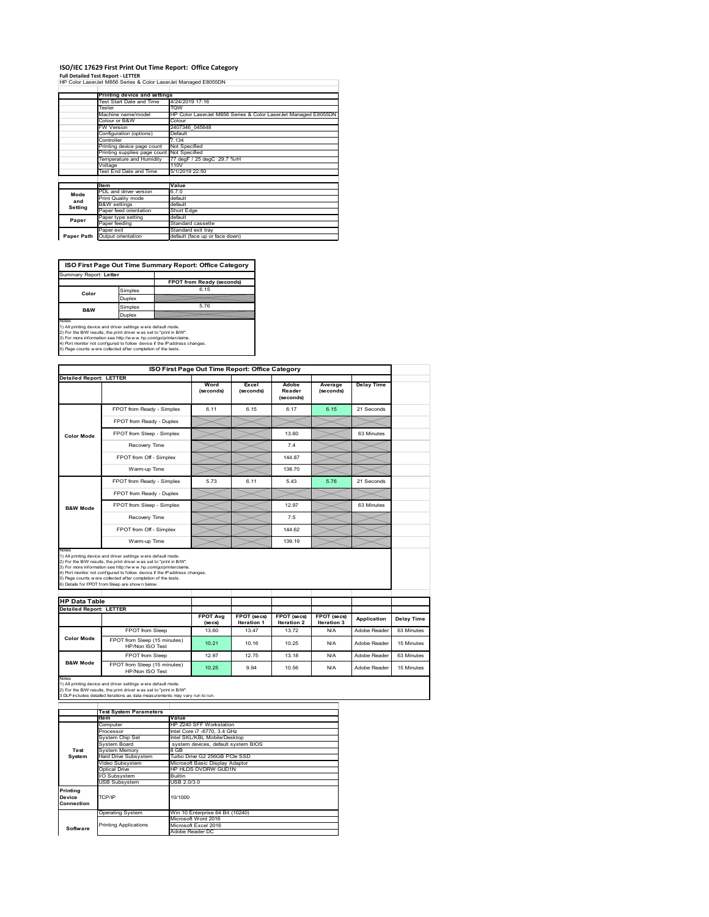#### **ISO/IEC 17629 First Print Out Time Report: Office Category**

**Full Detailed Test Report ‐ LETTER**

| HP Color LaserJet M856 Series & Color LaserJet Managed E8055DN |                                                               |
|----------------------------------------------------------------|---------------------------------------------------------------|
|                                                                |                                                               |
| Printing device and settings                                   |                                                               |
| Test Start Date and Time                                       | 4/24/2019 17:16                                               |
| Tester                                                         | TQW                                                           |
| Machine name/model                                             | HP Color LaserJet M856 Series & Color LaserJet Managed E8055D |
| Colour or B&W                                                  | Colour                                                        |
| <b>FW Version</b>                                              | 2407346 045648                                                |
| Configuration (options)                                        | Default                                                       |
| Controller                                                     | 7.134                                                         |
| Printing device page count                                     | Not Specified                                                 |
| Printing supplies page count Not Specified                     |                                                               |
| Temperature and Humidity                                       | 77 degF / 25 degC 29.7 %rH                                    |
| Voltage                                                        | 110V                                                          |
| Test End Date and Time                                         | 5/1/2019 22:50                                                |
|                                                                |                                                               |
| <b>Item</b>                                                    | Value                                                         |

PDL and driver version 6.7.0 Print Quality mode default W settings default Paper feed orientation Short Edge Paper type setting default Paper feeding Standard cassette Paper exit Standard exit tray Output orientatio **Mode and Setting Paper Paper Path**

**ISO First Page Out Time Summary Report: Office Category**

| Summary Report: Letter                                                                                                                                                                                                                                                             |         |                                                                            |
|------------------------------------------------------------------------------------------------------------------------------------------------------------------------------------------------------------------------------------------------------------------------------------|---------|----------------------------------------------------------------------------|
|                                                                                                                                                                                                                                                                                    |         | FPOT from Ready (seconds)                                                  |
| Color                                                                                                                                                                                                                                                                              | Simplex | 6 15                                                                       |
|                                                                                                                                                                                                                                                                                    | Duplex  |                                                                            |
| B&W                                                                                                                                                                                                                                                                                | Simplex | 5.76                                                                       |
|                                                                                                                                                                                                                                                                                    | Duplex  |                                                                            |
| Notes<br>1) All printing device and driver settings w ere default mode.<br>2) For the B/W results, the print driver was set to "print in B/W".<br>3) For more information see http://www.hp.com/go/printerclaims.<br>5) Page counts w ere collected after completion of the tests. |         | 4) Port monitor not configured to follow device if the IP address changes. |
|                                                                                                                                                                                                                                                                                    |         |                                                                            |

|                                                        |                                                                                                                                                                                                                                                                                                                                                                                                             | ISO First Page Out Time Report: Office Category |                      |                      |                      |                   |                          |
|--------------------------------------------------------|-------------------------------------------------------------------------------------------------------------------------------------------------------------------------------------------------------------------------------------------------------------------------------------------------------------------------------------------------------------------------------------------------------------|-------------------------------------------------|----------------------|----------------------|----------------------|-------------------|--------------------------|
| <b>Detailed Report: LETTER</b>                         |                                                                                                                                                                                                                                                                                                                                                                                                             | Word                                            | Excel                | Adobe                |                      |                   |                          |
|                                                        |                                                                                                                                                                                                                                                                                                                                                                                                             | (seconds)                                       | (seconds)            | Reader<br>(seconds)  | Average<br>(seconds) | <b>Delay Time</b> |                          |
|                                                        | FPOT from Ready - Simplex                                                                                                                                                                                                                                                                                                                                                                                   | 6.11                                            | 6.15                 | 6.17                 | 6.15                 | 21 Seconds        |                          |
|                                                        | FPOT from Ready - Duplex                                                                                                                                                                                                                                                                                                                                                                                    |                                                 |                      |                      |                      |                   |                          |
| <b>Color Mode</b>                                      | FPOT from Sleep - Simplex                                                                                                                                                                                                                                                                                                                                                                                   |                                                 |                      | 13.60                |                      | 63 Minutes        |                          |
|                                                        | Recovery Time                                                                                                                                                                                                                                                                                                                                                                                               |                                                 |                      | 74                   |                      |                   |                          |
|                                                        | FPOT from Off - Simplex                                                                                                                                                                                                                                                                                                                                                                                     |                                                 |                      | 144.87               |                      |                   |                          |
|                                                        | Warm-up Time                                                                                                                                                                                                                                                                                                                                                                                                |                                                 |                      | 138.70               |                      |                   |                          |
|                                                        | FPOT from Ready - Simplex                                                                                                                                                                                                                                                                                                                                                                                   | 5.73                                            | 6.11                 | 5.43                 | 5.76                 | 21 Seconds        |                          |
|                                                        | FPOT from Ready - Duplex                                                                                                                                                                                                                                                                                                                                                                                    |                                                 |                      |                      |                      |                   |                          |
| <b>B&amp;W Mode</b>                                    | FPOT from Sleep - Simplex                                                                                                                                                                                                                                                                                                                                                                                   |                                                 |                      | 12.97                |                      | 63 Minutes        |                          |
|                                                        | Recovery Time                                                                                                                                                                                                                                                                                                                                                                                               |                                                 |                      | 7.5                  |                      |                   |                          |
|                                                        |                                                                                                                                                                                                                                                                                                                                                                                                             |                                                 |                      |                      |                      |                   |                          |
|                                                        | FPOT from Off - Simplex                                                                                                                                                                                                                                                                                                                                                                                     |                                                 |                      | 144.62               |                      |                   |                          |
| Notes                                                  | Warm-up Time                                                                                                                                                                                                                                                                                                                                                                                                |                                                 |                      | 139.19               |                      |                   |                          |
| <b>HP Data Table</b><br><b>Detailed Report: LETTER</b> | 1) All printing device and driver settings w ere default mode.<br>2) For the B/W results, the print driver was set to "print in B/W".<br>3) For more information see http://www.hp.com/go/printerclaims.<br>4) Port monitor not configured to follow device if the IP address changes.<br>5) Page counts w ere collected after completion of the tests.<br>6) Details for FPOT from Sleep are show n below. | <b>FPOT Avg</b>                                 | FPOT (secs)          | FPOT (secs)          | FPOT (secs)          | Application       |                          |
|                                                        |                                                                                                                                                                                                                                                                                                                                                                                                             | (se cs)<br>13.60                                | Iteration 1<br>13.47 | Iteration 2<br>13.72 | Iteration 3<br>N/A   | Adobe Reader      | Delay Time<br>63 Minutes |
| <b>Color Mode</b>                                      | FPOT from Sleep<br>FPOT from Sleep (15 minutes)                                                                                                                                                                                                                                                                                                                                                             | 10.21                                           | 10.16                | 10.25                | N/A                  | Adobe Reader      | 15 Minutes               |
|                                                        | HP/Non ISO Test<br><b>FPOT from Sleep</b>                                                                                                                                                                                                                                                                                                                                                                   | 12.97                                           | 12.75                | 13.18                | N/A                  | Adobe Reader      | 63 Minutes               |

|                                  | <b>Test System Parameters</b> |                                     |
|----------------------------------|-------------------------------|-------------------------------------|
|                                  | lte m                         | Value                               |
|                                  | Computer                      | HP Z240 SFF Workstation             |
|                                  | Processor                     | Intel Core i7 -6770, 3.4 GHz        |
|                                  | System Chip Set               | Intel SKL/KBL Mobile/Desktop        |
|                                  | System Board                  | system devices, default system BIOS |
| Test                             | <b>System Memory</b>          | 8 GB                                |
| System                           | Hard Drive Subsystem          | Turbo Drive G2 256GB PCle SSD       |
|                                  | Video Subsystem               | Microsoft Basic Display Adaptor     |
|                                  | Optical Drive                 | HP HLDS DVDRW GUD1N                 |
|                                  | I/O Subsystem                 | <b>Builtin</b>                      |
|                                  | <b>USB Subsystem</b>          | USB 2.0/3.0                         |
| Printing<br>Device<br>Connection | TCP/IP                        | 10/1000                             |
|                                  |                               |                                     |
|                                  | <b>Operating System</b>       | Win 10 Enterprise 64 Bit (10240)    |
|                                  |                               | Microsoft Word 2016                 |
| Software                         | <b>Printing Applications</b>  | Microsoft Excel 2016                |
|                                  |                               | Adobe Reader DC                     |